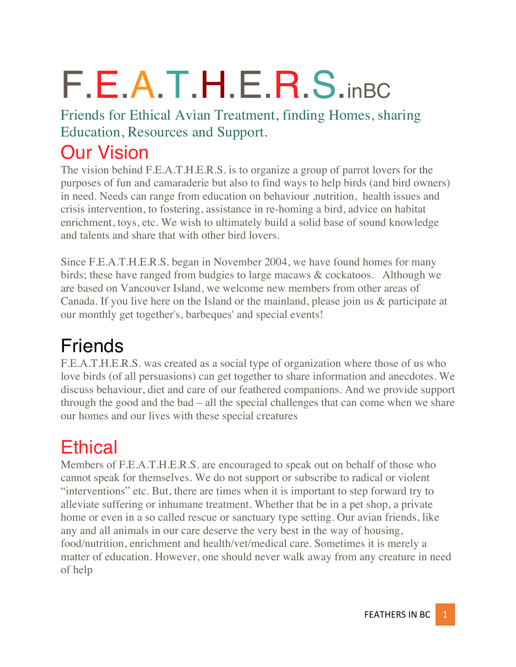# F.E.A.T.H.E.R.S.inBC

Friends for Ethical Avian Treatment, finding Homes, sharing Education, Resources and Support.

#### Our Vision

The vision behind F.E.A.T.H.E.R.S. is to organize a group of parrot lovers for the purposes of fun and camaraderie but also to find ways to help birds (and bird owners) in need. Needs can range from education on behaviour ,nutrition, health issues and crisis intervention, to fostering, assistance in re-homing a bird, advice on habitat enrichment, toys, etc. We wish to ultimately build a solid base of sound knowledge and talents and share that with other bird lovers.

Since F.E.A.T.H.E.R.S. began in November 2004, we have found homes for many birds; these have ranged from budgies to large macaws & cockatoos. Although we are based on Vancouver Island, we welcome new members from other areas of Canada. If you live here on the Island or the mainland, please join us & participate at our monthly get together's, barbeques' and special events!

## Friends

F.E.A.T.H.E.R.S. was created as a social type of organization where those of us who love birds (of all persuasions) can get together to share information and anecdotes. We discuss behaviour, diet and care of our feathered companions. And we provide support through the good and the bad – all the special challenges that can come when we share our homes and our lives with these special creatures

## **Ethical**

Members of F.E.A.T.H.E.R.S. are encouraged to speak out on behalf of those who cannot speak for themselves. We do not support or subscribe to radical or violent "interventions" etc. But, there are times when it is important to step forward try to alleviate suffering or inhumane treatment. Whether that be in a pet shop, a private home or even in a so called rescue or sanctuary type setting. Our avian friends, like any and all animals in our care deserve the very best in the way of housing, food/nutrition, enrichment and health/vet/medical care. Sometimes it is merely a matter of education. However, one should never walk away from any creature in need of help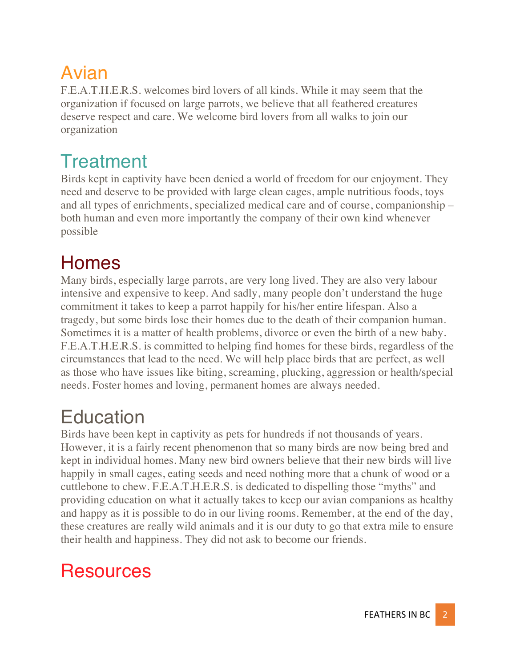# Avian

F.E.A.T.H.E.R.S. welcomes bird lovers of all kinds. While it may seem that the organization if focused on large parrots, we believe that all feathered creatures deserve respect and care. We welcome bird lovers from all walks to join our organization

## **Treatment**

Birds kept in captivity have been denied a world of freedom for our enjoyment. They need and deserve to be provided with large clean cages, ample nutritious foods, toys and all types of enrichments, specialized medical care and of course, companionship – both human and even more importantly the company of their own kind whenever possible

# **Homes**

Many birds, especially large parrots, are very long lived. They are also very labour intensive and expensive to keep. And sadly, many people don't understand the huge commitment it takes to keep a parrot happily for his/her entire lifespan. Also a tragedy, but some birds lose their homes due to the death of their companion human. Sometimes it is a matter of health problems, divorce or even the birth of a new baby. F.E.A.T.H.E.R.S. is committed to helping find homes for these birds, regardless of the circumstances that lead to the need. We will help place birds that are perfect, as well as those who have issues like biting, screaming, plucking, aggression or health/special needs. Foster homes and loving, permanent homes are always needed.

## **Education**

Birds have been kept in captivity as pets for hundreds if not thousands of years. However, it is a fairly recent phenomenon that so many birds are now being bred and kept in individual homes. Many new bird owners believe that their new birds will live happily in small cages, eating seeds and need nothing more that a chunk of wood or a cuttlebone to chew. F.E.A.T.H.E.R.S. is dedicated to dispelling those "myths" and providing education on what it actually takes to keep our avian companions as healthy and happy as it is possible to do in our living rooms. Remember, at the end of the day, these creatures are really wild animals and it is our duty to go that extra mile to ensure their health and happiness. They did not ask to become our friends.

#### **Resources**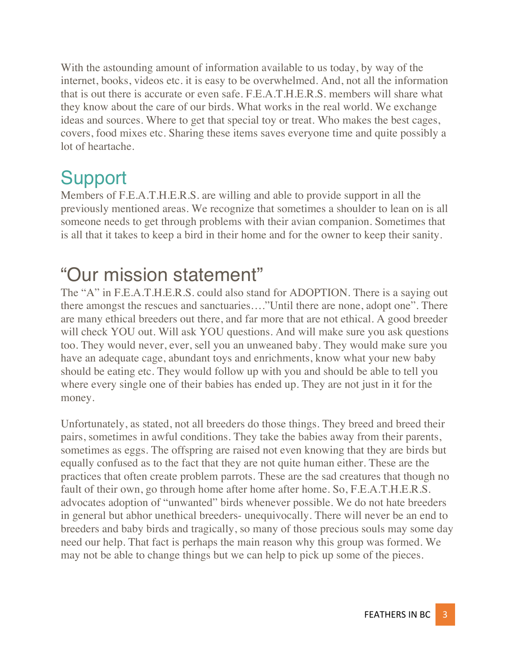With the astounding amount of information available to us today, by way of the internet, books, videos etc. it is easy to be overwhelmed. And, not all the information that is out there is accurate or even safe. F.E.A.T.H.E.R.S. members will share what they know about the care of our birds. What works in the real world. We exchange ideas and sources. Where to get that special toy or treat. Who makes the best cages, covers, food mixes etc. Sharing these items saves everyone time and quite possibly a lot of heartache.

#### Support

Members of F.E.A.T.H.E.R.S. are willing and able to provide support in all the previously mentioned areas. We recognize that sometimes a shoulder to lean on is all someone needs to get through problems with their avian companion. Sometimes that is all that it takes to keep a bird in their home and for the owner to keep their sanity.

#### "Our mission statement"

The "A" in F.E.A.T.H.E.R.S. could also stand for ADOPTION. There is a saying out there amongst the rescues and sanctuaries…."Until there are none, adopt one". There are many ethical breeders out there, and far more that are not ethical. A good breeder will check YOU out. Will ask YOU questions. And will make sure you ask questions too. They would never, ever, sell you an unweaned baby. They would make sure you have an adequate cage, abundant toys and enrichments, know what your new baby should be eating etc. They would follow up with you and should be able to tell you where every single one of their babies has ended up. They are not just in it for the money.

Unfortunately, as stated, not all breeders do those things. They breed and breed their pairs, sometimes in awful conditions. They take the babies away from their parents, sometimes as eggs. The offspring are raised not even knowing that they are birds but equally confused as to the fact that they are not quite human either. These are the practices that often create problem parrots. These are the sad creatures that though no fault of their own, go through home after home after home. So, F.E.A.T.H.E.R.S. advocates adoption of "unwanted" birds whenever possible. We do not hate breeders in general but abhor unethical breeders- unequivocally. There will never be an end to breeders and baby birds and tragically, so many of those precious souls may some day need our help. That fact is perhaps the main reason why this group was formed. We may not be able to change things but we can help to pick up some of the pieces.